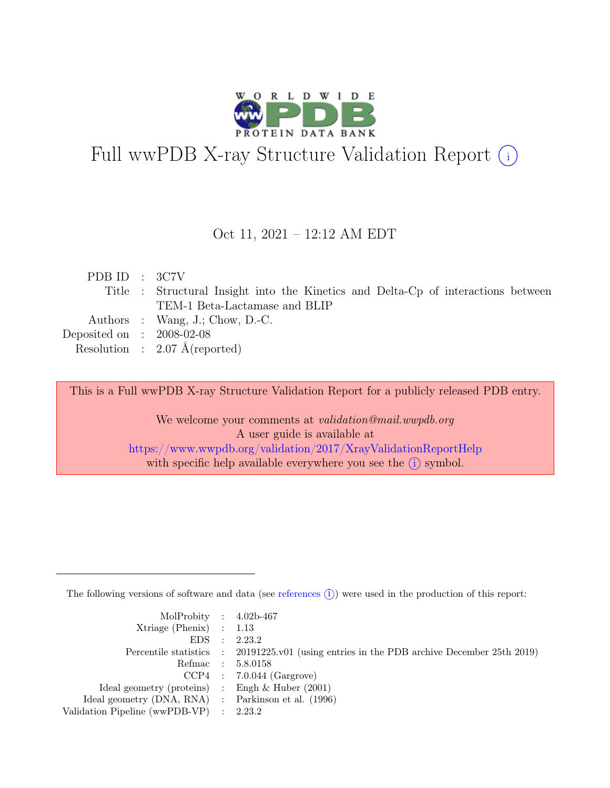

# Full wwPDB X-ray Structure Validation Report  $\bigcirc$

Oct 11, 2021 – 12:12 AM EDT

| PDB ID : 3C7V               |                                                                                   |
|-----------------------------|-----------------------------------------------------------------------------------|
|                             | Title : Structural Insight into the Kinetics and Delta-Cp of interactions between |
|                             | TEM-1 Beta-Lactamase and BLIP                                                     |
|                             | Authors : Wang, J.; Chow, D.-C.                                                   |
| Deposited on : $2008-02-08$ |                                                                                   |
|                             | Resolution : $2.07 \text{ Å}$ (reported)                                          |

This is a Full wwPDB X-ray Structure Validation Report for a publicly released PDB entry.

We welcome your comments at *validation@mail.wwpdb.org* A user guide is available at <https://www.wwpdb.org/validation/2017/XrayValidationReportHelp> with specific help available everywhere you see the  $(i)$  symbol.

The following versions of software and data (see [references](https://www.wwpdb.org/validation/2017/XrayValidationReportHelp#references)  $(i)$ ) were used in the production of this report:

| MolProbity : $4.02b-467$                            |                                                                                            |
|-----------------------------------------------------|--------------------------------------------------------------------------------------------|
| $Xtriangle (Phenix)$ : 1.13                         |                                                                                            |
|                                                     | EDS : 2.23.2                                                                               |
|                                                     | Percentile statistics : 20191225.v01 (using entries in the PDB archive December 25th 2019) |
|                                                     | Refmac : 5.8.0158                                                                          |
|                                                     | $CCP4$ : 7.0.044 (Gargrove)                                                                |
| Ideal geometry (proteins) : Engh $\&$ Huber (2001)  |                                                                                            |
| Ideal geometry (DNA, RNA) : Parkinson et al. (1996) |                                                                                            |
| Validation Pipeline (wwPDB-VP) : 2.23.2             |                                                                                            |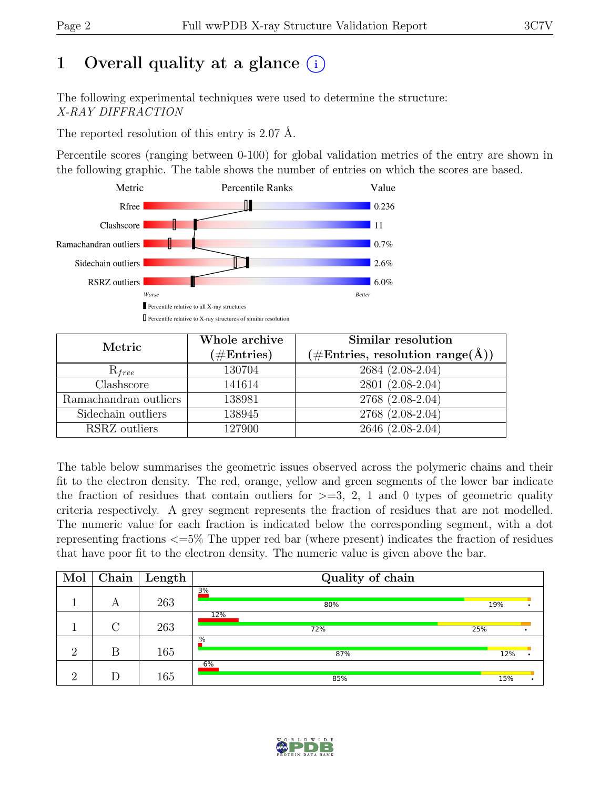# 1 Overall quality at a glance  $(i)$

The following experimental techniques were used to determine the structure: X-RAY DIFFRACTION

The reported resolution of this entry is 2.07 Å.

Percentile scores (ranging between 0-100) for global validation metrics of the entry are shown in the following graphic. The table shows the number of entries on which the scores are based.



| Metric                | Whole archive<br>$(\#Entries)$ | Similar resolution<br>$(\#Entries, resolution range(A))$ |  |  |
|-----------------------|--------------------------------|----------------------------------------------------------|--|--|
| $R_{free}$            | 130704                         | 2684 (2.08-2.04)                                         |  |  |
| Clashscore            | 141614                         | 2801 (2.08-2.04)                                         |  |  |
| Ramachandran outliers | 138981                         | 2768 (2.08-2.04)                                         |  |  |
| Sidechain outliers    | 138945                         | 2768 (2.08-2.04)                                         |  |  |
| RSRZ outliers         | 127900                         | 2646 (2.08-2.04)                                         |  |  |

The table below summarises the geometric issues observed across the polymeric chains and their fit to the electron density. The red, orange, yellow and green segments of the lower bar indicate the fraction of residues that contain outliers for  $\geq$ =3, 2, 1 and 0 types of geometric quality criteria respectively. A grey segment represents the fraction of residues that are not modelled. The numeric value for each fraction is indicated below the corresponding segment, with a dot representing fractions <=5% The upper red bar (where present) indicates the fraction of residues that have poor fit to the electron density. The numeric value is given above the bar.

| Mol      | $\bf Chain \ $     | $\vert$ Length | Quality of chain       |     |     |  |
|----------|--------------------|----------------|------------------------|-----|-----|--|
|          | А                  | 263            | 3%<br>80%              | 19% |     |  |
|          | $\curvearrowright$ | 263            | 12%<br>72%             | 25% |     |  |
| $\Omega$ | В                  | 165            | $\overline{\%}$<br>87% |     | 12% |  |
| $\Omega$ |                    | 165            | 6%<br>85%              | 15% |     |  |

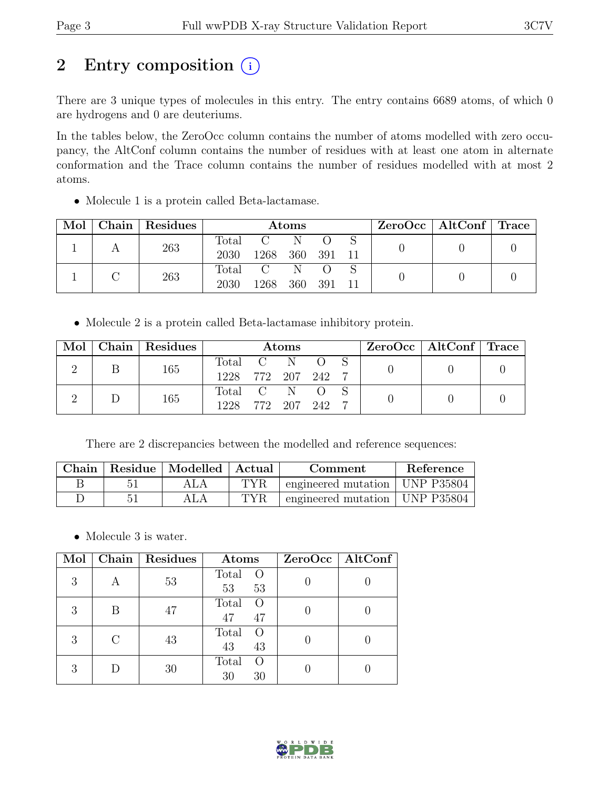## 2 Entry composition  $(i)$

There are 3 unique types of molecules in this entry. The entry contains 6689 atoms, of which 0 are hydrogens and 0 are deuteriums.

In the tables below, the ZeroOcc column contains the number of atoms modelled with zero occupancy, the AltConf column contains the number of residues with at least one atom in alternate conformation and the Trace column contains the number of residues modelled with at most 2 atoms.

• Molecule 1 is a protein called Beta-lactamase.

| Mol | Chain Residues | <b>Atoms</b>  |                       |     | $ZeroOcc \mid AltConf \mid Trace$ |  |  |  |
|-----|----------------|---------------|-----------------------|-----|-----------------------------------|--|--|--|
|     | 263            | Total<br>2030 | 1268                  | 360 | - 391                             |  |  |  |
|     | 263            | Total<br>2030 | $\mathcal{C}$<br>1268 | 360 | -391                              |  |  |  |

• Molecule 2 is a protein called Beta-lactamase inhibitory protein.

|  | Mol   Chain   Residues | Atoms              |  |  |  |  | ZeroOcc   AltConf   Trace |  |
|--|------------------------|--------------------|--|--|--|--|---------------------------|--|
|  | 165                    | Total C N O S      |  |  |  |  |                           |  |
|  |                        | 1228 772 207 242 7 |  |  |  |  |                           |  |
|  | 165                    | Total C N O        |  |  |  |  |                           |  |
|  |                        | 1228 772 207 242 7 |  |  |  |  |                           |  |

There are 2 discrepancies between the modelled and reference sequences:

|  | Chain   Residue   Modelled   Actual |      | Comment                          | Reference |
|--|-------------------------------------|------|----------------------------------|-----------|
|  | ALA                                 | TYR  | engineered mutation   UNP P35804 |           |
|  |                                     | TYR. | engineered mutation   UNP P35804 |           |

• Molecule 3 is water.

| Mol |   | Chain   Residues | Atoms                                 | $ZeroOcc$   AltConf |
|-----|---|------------------|---------------------------------------|---------------------|
| 3   | А | 53               | Total<br>- O<br>53<br>53              |                     |
| 3   | В | 47               | Total<br>47<br>47                     |                     |
| 3   |   | 43               | Total<br>43<br>43                     |                     |
| 3   |   | 30               | Total<br>$\left( \right)$<br>30<br>30 |                     |

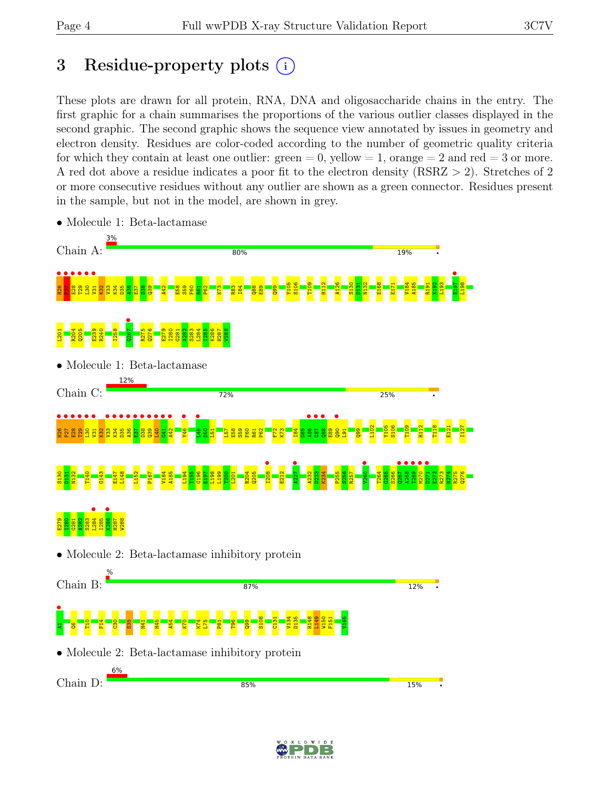## 3 Residue-property plots  $(i)$

These plots are drawn for all protein, RNA, DNA and oligosaccharide chains in the entry. The first graphic for a chain summarises the proportions of the various outlier classes displayed in the second graphic. The second graphic shows the sequence view annotated by issues in geometry and electron density. Residues are color-coded according to the number of geometric quality criteria for which they contain at least one outlier:  $green = 0$ , yellow  $= 1$ , orange  $= 2$  and red  $= 3$  or more. A red dot above a residue indicates a poor fit to the electron density (RSRZ > 2). Stretches of 2 or more consecutive residues without any outlier are shown as a green connector. Residues present in the sample, but not in the model, are shown in grey.



• Molecule 1: Beta-lactamase

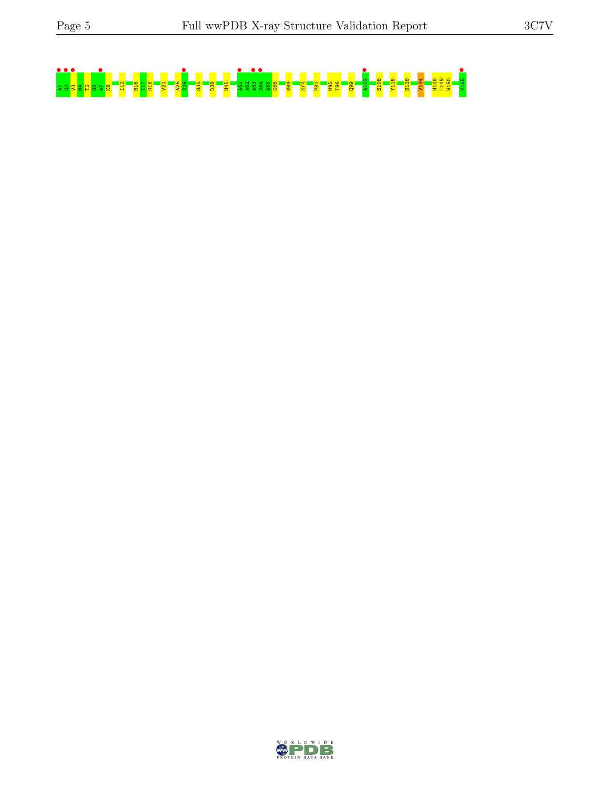

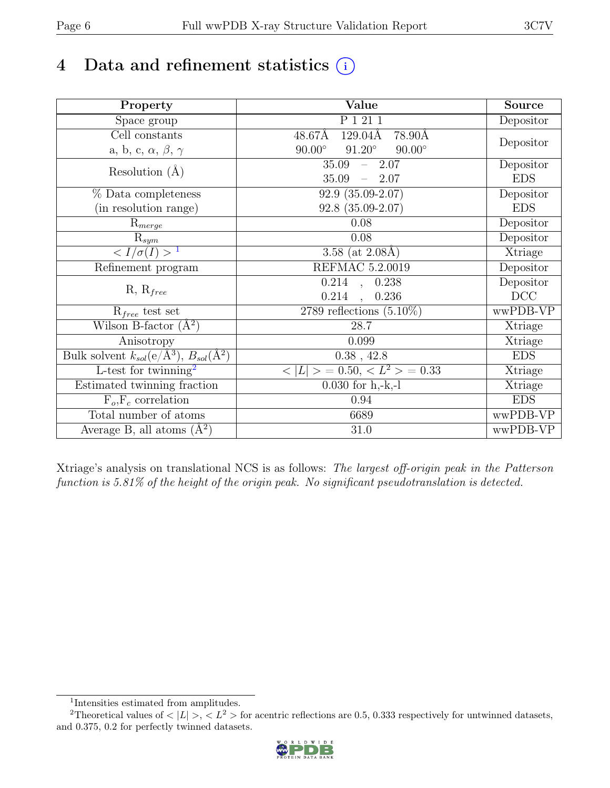# 4 Data and refinement statistics  $(i)$

| Property                                                             | Value                                           | Source     |
|----------------------------------------------------------------------|-------------------------------------------------|------------|
| Space group                                                          | P 1 21 1                                        | Depositor  |
| $\overline{C}$ ell constants                                         | 48.67Å<br>129.04Å<br>78.90Å                     |            |
| a, b, c, $\alpha$ , $\beta$ , $\gamma$                               | $90.00^\circ$<br>$91.20^\circ$<br>$90.00^\circ$ | Depositor  |
| Resolution $(A)$                                                     | 35.09<br>$-2.07$                                | Depositor  |
|                                                                      | 35.09<br>$-2.07$                                | <b>EDS</b> |
| % Data completeness                                                  | $92.9(35.09-2.07)$                              | Depositor  |
| (in resolution range)                                                | $92.8(35.09-2.07)$                              | <b>EDS</b> |
| $R_{merge}$                                                          | 0.08                                            | Depositor  |
| $\mathrm{R}_{sym}$                                                   | 0.08                                            | Depositor  |
| $\langle I/\sigma(I) \rangle$ <sup>1</sup>                           | 3.58 (at $2.08\text{\AA}$ )                     | Xtriage    |
| Refinement program                                                   | REFMAC 5.2.0019                                 | Depositor  |
|                                                                      | $\overline{0.214}$ ,<br>0.238                   | Depositor  |
| $R, R_{free}$                                                        | 0.214<br>0.236<br>$\ddot{\phantom{a}}$          | DCC        |
| $R_{free}$ test set                                                  | 2789 reflections $(5.10\%)$                     | wwPDB-VP   |
| Wilson B-factor $(A^2)$                                              | 28.7                                            | Xtriage    |
| Anisotropy                                                           | 0.099                                           | Xtriage    |
| Bulk solvent $k_{sol}(e/\mathring{A}^3)$ , $B_{sol}(\mathring{A}^2)$ | $0.38$ , 42.8                                   | <b>EDS</b> |
| L-test for twinning <sup>2</sup>                                     | $< L >$ = 0.50, $< L2$ > = 0.33                 | Xtriage    |
| Estimated twinning fraction                                          | $0.030$ for h,-k,-l                             | Xtriage    |
| $F_o, F_c$ correlation                                               | 0.94                                            | <b>EDS</b> |
| Total number of atoms                                                | 6689                                            | wwPDB-VP   |
| Average B, all atoms $(A^2)$                                         | 31.0                                            | wwPDB-VP   |

Xtriage's analysis on translational NCS is as follows: The largest off-origin peak in the Patterson function is 5.81% of the height of the origin peak. No significant pseudotranslation is detected.

<sup>&</sup>lt;sup>2</sup>Theoretical values of  $\langle |L| \rangle$ ,  $\langle L^2 \rangle$  for acentric reflections are 0.5, 0.333 respectively for untwinned datasets, and 0.375, 0.2 for perfectly twinned datasets.



<span id="page-5-1"></span><span id="page-5-0"></span><sup>1</sup> Intensities estimated from amplitudes.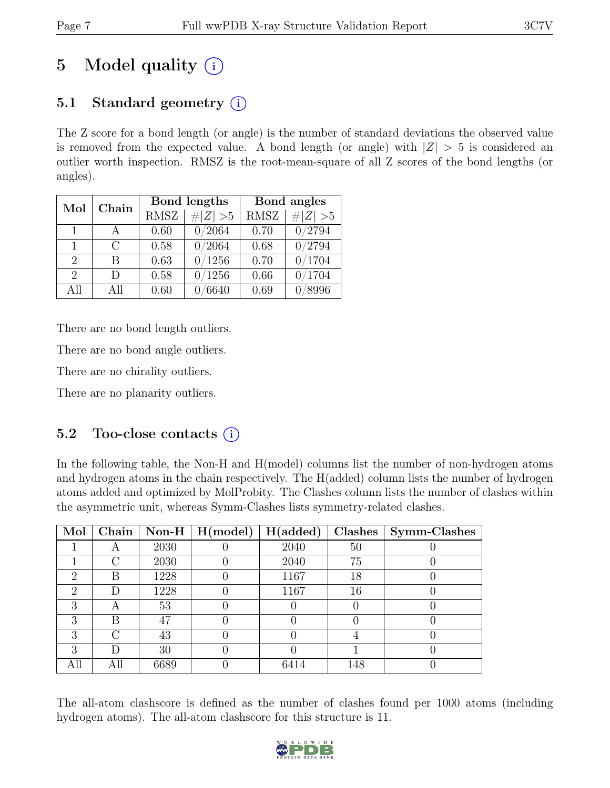# 5 Model quality  $(i)$

## 5.1 Standard geometry  $(i)$

The Z score for a bond length (or angle) is the number of standard deviations the observed value is removed from the expected value. A bond length (or angle) with  $|Z| > 5$  is considered an outlier worth inspection. RMSZ is the root-mean-square of all Z scores of the bond lengths (or angles).

| Mol                         | Chain        |             | Bond lengths | Bond angles |             |  |
|-----------------------------|--------------|-------------|--------------|-------------|-------------|--|
|                             |              | <b>RMSZ</b> | $\# Z  > 5$  | <b>RMSZ</b> | # $ Z  > 5$ |  |
| $\overline{1}$              | $\mathsf{A}$ | 0.60        | 0/2064       | 0.70        | 0/2794      |  |
| 1                           | C            | 0.58        | 0/2064       | 0.68        | 0/2794      |  |
| $\mathcal{D}_{\mathcal{L}}$ | R            | 0.63        | 0/1256       | 0.70        | 0/1704      |  |
| $\mathcal{D}_{\mathcal{L}}$ | $\Box$       | 0.58        | 0/1256       | 0.66        | 0/1704      |  |
| All                         | All          | 0.60        | 6640         | 0.69        | 8996        |  |

There are no bond length outliers.

There are no bond angle outliers.

There are no chirality outliers.

There are no planarity outliers.

#### 5.2 Too-close contacts  $(i)$

In the following table, the Non-H and H(model) columns list the number of non-hydrogen atoms and hydrogen atoms in the chain respectively. The H(added) column lists the number of hydrogen atoms added and optimized by MolProbity. The Clashes column lists the number of clashes within the asymmetric unit, whereas Symm-Clashes lists symmetry-related clashes.

| Mol                         |     |      | Chain   Non-H   $H(model)$   $H(added)$ |      | Clashes | Symm-Clashes |
|-----------------------------|-----|------|-----------------------------------------|------|---------|--------------|
|                             |     | 2030 |                                         | 2040 | 50      |              |
|                             |     | 2030 |                                         | 2040 | 75      |              |
| 2                           | B   | 1228 |                                         | 1167 | 18      |              |
| $\mathcal{D}_{\mathcal{L}}$ | Ð   | 1228 |                                         | 1167 | 16      |              |
| 3                           | А   | 53   |                                         |      |         |              |
| 3                           | В   | 47   |                                         |      |         |              |
| 3                           |     | 43   |                                         |      |         |              |
| 3                           |     | 30   |                                         |      |         |              |
| All                         | All | 6689 |                                         |      | 148     |              |

The all-atom clashscore is defined as the number of clashes found per 1000 atoms (including hydrogen atoms). The all-atom clashscore for this structure is 11.

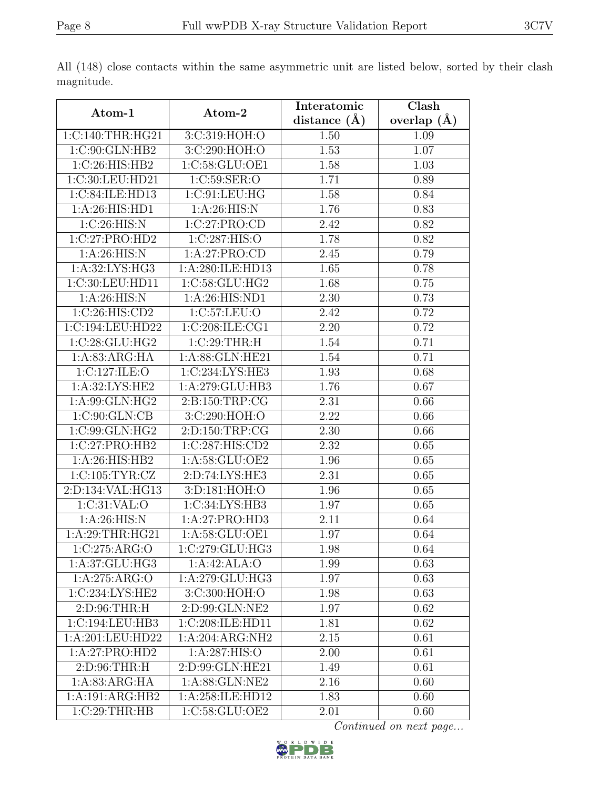|                             |                  | Interatomic       | Clash           |
|-----------------------------|------------------|-------------------|-----------------|
| Atom-1                      | Atom-2           | distance $(\AA)$  | overlap $(\AA)$ |
| 1:C:140:THR:HG21            | 3:C:319:HOH:O    | 1.50              | 1.09            |
| 1:C:90:GLN:HB2              | 3:C:290:HOH:O    | 1.53              | 1.07            |
| 1:C:26:HIS:HB2              | 1:C:58:GLU:OE1   | 1.58              | 1.03            |
| 1:C:30:LEU:HD21             | 1:C:59:SER:O     | 1.71              | 0.89            |
| 1:C:84:ILE:HD13             | 1:C:91:LEU:HG    | 1.58              | 0.84            |
| 1:A:26:HIS:HD1              | $1:$ A:26:HIS:N  | 1.76              | 0.83            |
| 1:C:26:HIS:N                | 1:C:27:PRO:CD    | 2.42              | 0.82            |
| $1:C:27:P\overline{RO:HD2}$ | 1:C:287:HIS:O    | 1.78              | 0.82            |
| 1: A:26: HIS:N              | 1:A:27:PRO:CD    | 2.45              | 0.79            |
| 1:A:32:LYS:HG3              | 1:A:280:ILE:HD13 | 1.65              | 0.78            |
| 1:C:30:LEU:HD11             | 1:C:58:GLU:HG2   | 1.68              | 0.75            |
| 1: A:26: HIS:N              | 1: A:26:HIS:ND1  | 2.30              | 0.73            |
| 1:C:26:HIS:CD2              | 1:C:57:LEU:O     | 2.42              | 0.72            |
| 1:C:194:LEU:HD22            | 1:C:208:ILE:CG1  | $\overline{2.20}$ | 0.72            |
| 1:C:28:GLU:HG2              | 1:C:29:THR:H     | 1.54              | 0.71            |
| 1:A:83:ARG:HA               | 1:A:88:GLN:HE21  | 1.54              | 0.71            |
| 1:C:127:ILE:O               | 1:C:234:LYS:HE3  | 1.93              | 0.68            |
| 1:A:32:LYS:HE2              | 1:A:279:GLU:HB3  | 1.76              | 0.67            |
| 1: A:99: GLN: HG2           | 2:B:150:TRP:CG   | 2.31              | 0.66            |
| 1:C:90:GLN:CB               | 3:C:290:HOH:O    | 2.22              | 0.66            |
| 1:C:99:GLN:HG2              | 2:D:150:TRP:CG   | 2.30              | 0.66            |
| 1:C:27:PRO:HB2              | 1:C:287:HIS:CD2  | 2.32              | 0.65            |
| 1: A:26: HIS: HB2           | 1:A:58:GLU:OE2   | 1.96              | 0.65            |
| 1:C:105:TYR:CZ              | 2:D:74:LYS:HE3   | 2.31              | 0.65            |
| 2:D:134:VAL:HG13            | 3:D:181:HOH:O    | 1.96              | 0.65            |
| 1:C:31:VAL:O                | 1:C:34:LYS:HB3   | 1.97              | 0.65            |
| 1: A:26: HIS:N              | 1:A:27:PRO:HD3   | 2.11              | 0.64            |
| 1:A:29:THR:HG21             | 1:A:58:GLU:OE1   | 1.97              | 0.64            |
| 1:C:275:ARG:O               | 1:C:279:CLU:HG3  | 1.98              | 0.64            |
| 1:A:37:GLU:HG3              | 1:A:42:ALA:O     | 1.99              | 0.63            |
| 1:A:275:ARG:O               | 1:A:279:GLU:HG3  | 1.97              | 0.63            |
| 1:C:234:LYS:HE2             | 3:C:300:HOH:O    | 1.98              | 0.63            |
| 2: D:96:THR:H               | 2:D:99:GLN:NE2   | 1.97              | 0.62            |
| 1:C:194:LEU:HB3             | 1:C:208:ILE:HD11 | 1.81              | 0.62            |
| 1:A:201:LEU:HD22            | 1:A:204:ARG:NH2  | 2.15              | 0.61            |
| 1:A:27:PRO:HD2              | 1:A:287:HIS:O    | 2.00              | 0.61            |
| 2:D:96:THR:H                | 2:D:99:GLN:HE21  | 1.49              | 0.61            |
| 1: A:83: ARG:HA             | 1:A:88:GLN:NE2   | 2.16              | 0.60            |
| 1:A:191:ARG:HB2             | 1:A:258:ILE:HD12 | 1.83              | 0.60            |
| 1:C:29:THR:HB               | 1:C:58:GLU:OE2   | 2.01              | 0.60            |

All (148) close contacts within the same asymmetric unit are listed below, sorted by their clash magnitude.

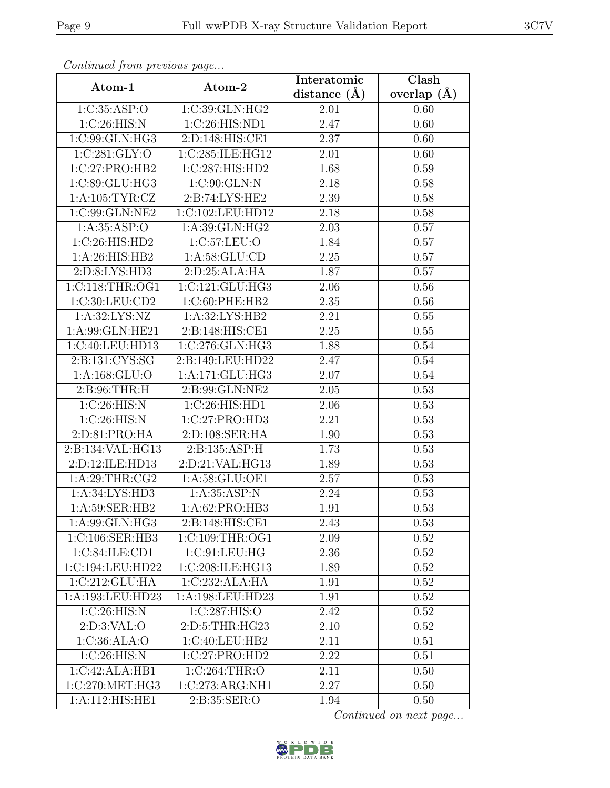| Continuea from previous page |                    | Interatomic    | $\overline{\text{Clash}}$ |
|------------------------------|--------------------|----------------|---------------------------|
| Atom-1                       | Atom-2             | distance $(A)$ | overlap $(A)$             |
| 1:C:35:ASP:O                 | 1:C:39:GLN:HG2     | 2.01           | 0.60                      |
| 1:C:26:HIS:N                 | 1:C:26:HIS:ND1     | 2.47           | 0.60                      |
| 1:C:99:GLN:HG3               | 2:D:148:HIS:CE1    | 2.37           | 0.60                      |
| 1:C:281:GLY:O                | 1:C:285:ILE:HG12   | 2.01           | 0.60                      |
| 1:C:27:PRO:HB2               | 1:C:287:HIS:HD2    | 1.68           | 0.59                      |
| 1:C:89:GLU:HG3               | 1:C:90:GLN:N       | 2.18           | 0.58                      |
| 1: A: 105: TYR: CZ           | 2:B:74:LYS:HE2     | 2.39           | 0.58                      |
| 1:C:99:GLN:NE2               | 1:C:102:LEU:HD12   | 2.18           | 0.58                      |
| 1: A: 35: ASP:O              | 1: A:39: GLN: HG2  | 2.03           | 0.57                      |
| 1:C:26:HIS:HD2               | 1:C:57:LEU:O       | 1.84           | 0.57                      |
| 1: A:26: HIS: HB2            | 1: A:58: GLU:CD    | 2.25           | 0.57                      |
| 2:D:8:LYS:HD3                | 2: D:25: ALA: HA   | 1.87           | 0.57                      |
| 1: C: 118: THR: OG1          | 1:C:121:GLU:HG3    | 2.06           | 0.56                      |
| 1:C:30:LEU:CD2               | 1:C:60:PHE:HB2     | 2.35           | 0.56                      |
| 1: A:32: LYS: NZ             | 1:A:32:LYS:HB2     | 2.21           | 0.55                      |
| 1:A:99:GLN:HE21              | 2:B:148:HIS:CE1    | 2.25           | 0.55                      |
| 1:C:40:LEU:HD13              | 1:C:276:GLN:HG3    | 1.88           | 0.54                      |
| 2:B:131:CYS:SG               | 2:B:149:LEU:HD22   | 2.47           | 0.54                      |
| 1:A:168:GLU:O                | 1: A:171: GLU: HG3 | 2.07           | 0.54                      |
| 2: B:96: THR:H               | 2:B:99:GLN:NE2     | 2.05           | 0.53                      |
| 1:C:26:HIS:N                 | 1:C:26:HIS:HD1     | 2.06           | 0.53                      |
| 1:C:26:HIS:N                 | 1:C:27:PRO:HD3     | 2.21           | 0.53                      |
| 2:D:81:PRO:HA                | 2: D: 108: SER: HA | 1.90           | 0.53                      |
| 2:B:134:VAL:HG13             | 2:B:135:ASP:H      | 1.73           | 0.53                      |
| 2:D:12:ILE:HD13              | 2:D:21:VAL:HG13    | 1.89           | 0.53                      |
| 1: A:29:THR:CG2              | 1:A:58:GLU:OE1     | 2.57           | 0.53                      |
| 1:A:34:LYS:HD3               | 1:A:35:ASP:N       | 2.24           | 0.53                      |
| 1:A:59:SER:HB2               | 1:A:62:PRO:HB3     | 1.91           | 0.53                      |
| 1:A:99:GLN:HG3               | 2:B:148:HIS:CE1    | 2.43           | 0.53                      |
| 1:C:106:SER:HB3              | 1:C:109:THR:OG1    | 2.09           | 0.52                      |
| 1:C:84:ILE:CD1               | 1: C:91: LEU: HG   | 2.36           | 0.52                      |
| 1:C:194:LEU:HD22             | 1:C:208:ILE:HG13   | 1.89           | 0.52                      |
| 1:C:212:GLU:HA               | 1:C:232:ALA:HA     | 1.91           | 0.52                      |
| 1:A:193:LEU:HD23             | 1:A:198:LEU:HD23   | 1.91           | 0.52                      |
| 1:C:26:HIS:N                 | 1:C:287:HIS:O      | 2.42           | 0.52                      |
| 2: D:3: VAL:O                | 2:D:5:THR:HG23     | 2.10           | 0.52                      |
| 1:C:36:ALA:O                 | 1:C:40:LEU:HB2     | 2.11           | 0.51                      |
| 1:C:26:HIS:N                 | 1:C:27:PRO:HD2     | 2.22           | 0.51                      |
| 1:C:42:ALA:HB1               | 1:C:264:THR:O      | 2.11           | 0.50                      |
| 1:C:270:MET:HG3              | 1:C:273:ARG:NH1    | 2.27           | 0.50                      |
| 1:A:112:HIS:HE1              | 2:B:35:SER:O       | 1.94           | 0.50                      |

Continued from previous page.

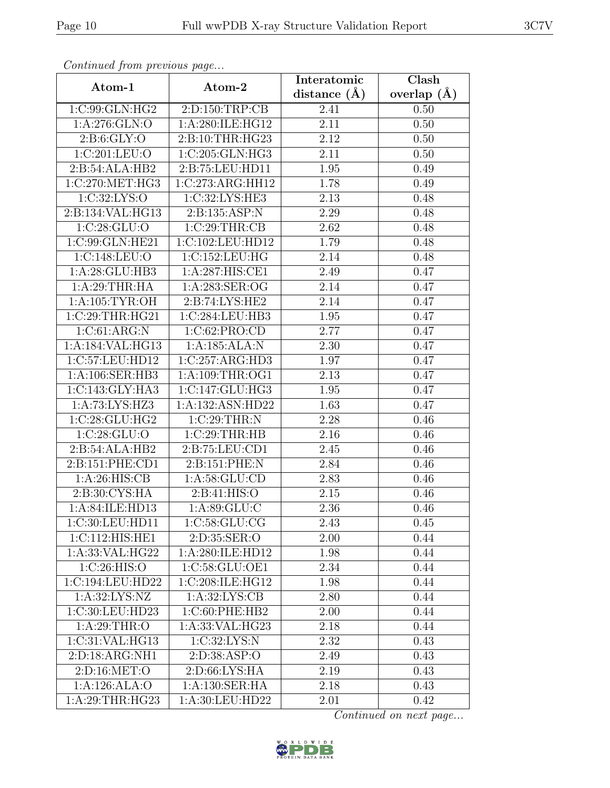| Continueu from pretious page |                                      | Interatomic       | Clash         |
|------------------------------|--------------------------------------|-------------------|---------------|
| Atom-1                       | Atom-2                               | distance $(A)$    | overlap $(A)$ |
| 1:C:99:GLN:HG2               | 2:D:150:TRP:CB                       | 2.41              | 0.50          |
| 1: A:276: GLN:O              | 1:A:280:ILE:HG12                     | 2.11              | 0.50          |
| 2: B:6: GLY:O                | 2:B:10:THR:HG23                      | 2.12              | 0.50          |
| 1:C:201:LEU:O                | 1:C:205:GLN:HG3                      | 2.11              | 0.50          |
| 2:B:54:ALA:HB2               | 2:B:75:LEU:HD11                      | 1.95              | 0.49          |
| 1:C:270:MET:HG3              | 1:C:273:ARG:HH12                     | 1.78              | 0.49          |
| 1:C:32:LYS:O                 | 1:C:32:LYS:HE3                       | $\overline{2.13}$ | 0.48          |
| 2:B:134:VAL:HG13             | 2:B:135:ASP:N                        | 2.29              | 0.48          |
| 1:C:28:GLU:O                 | 1:C:29:THR:CB                        | 2.62              | 0.48          |
| 1:C:99:GLN:HE21              | 1:C:102:LEU:HD12                     | 1.79              | 0.48          |
| 1:C:148:LEU:O                | 1:C:152:LEU:HG                       | 2.14              | 0.48          |
| 1:A:28:GLU:HB3               | 1:A:287:HIS:CE1                      | 2.49              | 0.47          |
| 1:A:29:THR:HA                | 1:A:283:SER:OG                       | 2.14              | 0.47          |
| 1: A: 105: TYR: OH           | 2:B:74:LYS:HE2                       | 2.14              | 0.47          |
| 1:C:29:THR:HG21              | 1:C:284:LEU:HB3                      | 1.95              | 0.47          |
| 1:C:61:ARG:N                 | 1:C:62:PRO:CD                        | 2.77              | 0.47          |
| 1:A:184:VAL:HG13             | 1:A:185:ALA:N                        | 2.30              | 0.47          |
| 1:C:57:LEU:HD12              | 1:C:257:ARG:HD3                      | 1.97              | 0.47          |
| 1:A:106:SER:HB3              | 1:A:109:THR:OG1                      | 2.13              | 0.47          |
| 1: C: 143: GLY: HA3          | 1:C:147:GLU:HG3                      | 1.95              | 0.47          |
| 1:A:73:LYS:HZ3               | 1:A:132:ASN:HD22                     | 1.63              | 0.47          |
| 1:C:28:GLU:HG2               | 1:C:29:THR:N                         | 2.28              | 0.46          |
| 1:C:28:GLU:O                 | 1:C:29:THR:HB                        | 2.16              | 0.46          |
| 2:B:54:ALA:HB2               | 2:B:75:LEU:CD1                       | 2.45              | 0.46          |
| 2:B:151:PHE:CD1              | 2:B:151:PHE:N                        | 2.84              | 0.46          |
| 1:A:26:HIS:CB                | 1: A:58: GLU:CD                      | 2.83              | 0.46          |
| 2:B:30:CYS:HA                | 2: B: 41: HIS: O                     | 2.15              | 0.46          |
| 1: A:84: ILE:HD13            | 1: A:89: GLU: C                      | 2.36              | 0.46          |
| 1:C:30:LEU:HD11              | 1:C:58:GLU:CG                        | 2.43              | 0.45          |
| 1:C:112:HIS:HE1              | 2: D: 35: SER: O                     | 2.00              | 0.44          |
| 1:A:33:VAL:HG22              | 1:A:280:ILE:HD12                     | 1.98              | 0.44          |
| 1:C:26:HIS:O                 | 1:C:58:GLU:OE1                       | 2.34              | 0.44          |
| 1:C:194:LEU:HD22             | $1:C:208:I\overline{\text{LE:HG12}}$ | 1.98              | 0.44          |
| 1: A:32: LYS: NZ             | 1: A:32: LYS: CB                     | 2.80              | 0.44          |
| 1:C:30:LEU:HD23              | 1:C:60:PHE:HB2                       | 2.00              | 0.44          |
| 1:A:29:THR:O                 | 1:A:33:VAL:HG23                      | 2.18              | 0.44          |
| 1:C:31:VAL:HG13              | 1:C:32:LYS:N                         | 2.32              | 0.43          |
| 2:D:18:ARG:NH1               | 2:D:38:ASP:O                         | 2.49              | 0.43          |
| 2: D: 16: MET:O              | 2: D:66: LYS: HA                     | 2.19              | 0.43          |
| 1:A:126:ALA:O                | 1:A:130:SER:HA                       | 2.18              | 0.43          |
| 1:A:29:THR:HG23              | 1:A:30:LEU:HD22                      | 2.01              | 0.42          |

Continued from previous page.

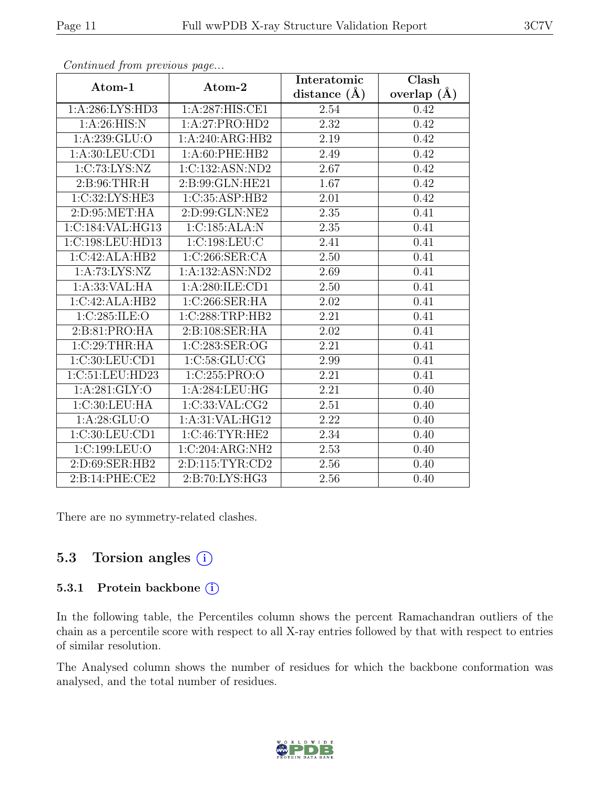|                   |                     | Interatomic    | Clash           |
|-------------------|---------------------|----------------|-----------------|
| Atom-1            | Atom-2              | distance $(A)$ | overlap $(\AA)$ |
| 1:A:286:LYS:HD3   | 1:A:287:HIS:CE1     | 2.54           | 0.42            |
| 1: A:26: HIS:N    | 1:A:27:PRO:HD2      | 2.32           | 0.42            |
| 1: A:239: GLU:O   | 1:A:240:ARG:HB2     | 2.19           | 0.42            |
| 1: A:30: LEU:CD1  | 1: A:60: PHE:HB2    | 2.49           | 0.42            |
| 1:C:73:LYS:NZ     | 1:C:132:ASN:ND2     | 2.67           | 0.42            |
| 2: B:96:THR:H     | 2:B:99:GLN:HE21     | 1.67           | 0.42            |
| 1:C:32:LYS:HE3    | 1:C:35:ASP:HB2      | 2.01           | 0.42            |
| 2: D: 95: MET: HA | 2:D:99:GLN:NE2      | 2.35           | 0.41            |
| 1:C:184:VAL:HG13  | 1:C:185:ALA:N       | 2.35           | 0.41            |
| 1:C:198:LEU:HD13  | 1:C:198:LEU:C       | 2.41           | 0.41            |
| 1:C:42:ALA:HB2    | 1:C:266:SER:CA      | 2.50           | 0.41            |
| 1:A:73:LYS:NZ     | 1:A:132:ASN:ND2     | 2.69           | 0.41            |
| 1: A: 33: VAL: HA | 1:A:280:ILE:CD1     | 2.50           | 0.41            |
| 1:C:42:ALA:HB2    | 1:C:266:SER:HA      | 2.02           | 0.41            |
| 1:C:285:ILE:O     | 1:C:288:TRP:HB2     | 2.21           | 0.41            |
| 2:B:81:PRO:HA     | 2:B:108:SER:HA      | 2.02           | 0.41            |
| 1:C:29:THR:HA     | 1:C:283:SER:OG      | 2.21           | 0.41            |
| 1:C:30:LEU:CD1    | 1:C:58:GLU:CG       | 2.99           | 0.41            |
| 1:C:51:LEU:HD23   | 1:C:255:PRO:O       | 2.21           | 0.41            |
| 1: A:281: GLY:O   | 1:A:284:LEU:HG      | 2.21           | 0.40            |
| 1:C:30:LEU:HA     | 1:C:33:VAL:CG2      | 2.51           | 0.40            |
| 1: A:28: GLU:O    | 1:A:31:VAL:HG12     | 2.22           | 0.40            |
| 1:C:30:LEU:CD1    | 1:C:46:TYR:HE2      | 2.34           | 0.40            |
| 1:C:199:LEU:O     | 1:C:204:ARG:NH2     | 2.53           | 0.40            |
| 2:D:69:SER:HB2    | 2: D: 115: TYR: CD2 | 2.56           | 0.40            |
| 2: B:14: PHE:CE2  | 2:B:70:LYS:HG3      | 2.56           | 0.40            |

Continued from previous page...

There are no symmetry-related clashes.

#### 5.3 Torsion angles (i)

#### 5.3.1 Protein backbone (i)

In the following table, the Percentiles column shows the percent Ramachandran outliers of the chain as a percentile score with respect to all X-ray entries followed by that with respect to entries of similar resolution.

The Analysed column shows the number of residues for which the backbone conformation was analysed, and the total number of residues.

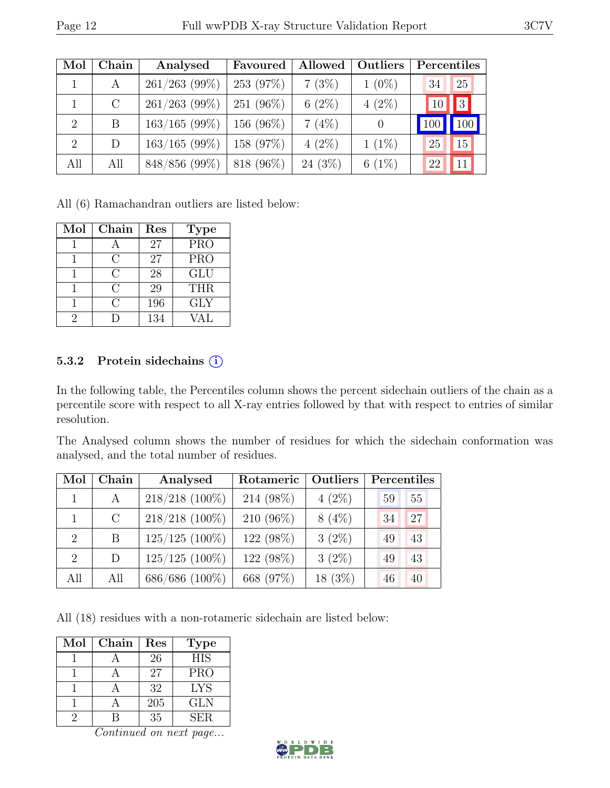| Mol            | Chain   | Analysed        | Favoured     | Allowed   | Outliers | Percentiles |     |
|----------------|---------|-----------------|--------------|-----------|----------|-------------|-----|
|                | A       | $261/263$ (99%) | 253 (97%)    | 7(3%)     | $1(0\%)$ | 34          | 25  |
|                | $\rm C$ | $261/263$ (99%) | 251 (96%)    | $6(2\%)$  | $4(2\%)$ | 10          | 3   |
| $\overline{2}$ | B       | $163/165$ (99%) | 156 $(96\%)$ | 7(4%)     | $\theta$ |             | 100 |
| $\overline{2}$ | D       | $163/165$ (99%) | 158 (97%)    | $4(2\%)$  | $1(1\%)$ | 25          | 15  |
| All            | All     | 848/856 (99%)   | 818 (96%)    | $24(3\%)$ | $6(1\%)$ | 22          | 11  |

All (6) Ramachandran outliers are listed below:

| Mol | Chain         | Res | <b>Type</b>             |
|-----|---------------|-----|-------------------------|
|     |               | 27  | $\overline{\text{PRO}}$ |
|     | C             | 27  | <b>PRO</b>              |
|     | $\mathcal{C}$ | 28  | GLU                     |
|     | C             | 29  | <b>THR</b>              |
|     | $\subset$     | 196 | <b>GLY</b>              |
| 2   |               | 134 | VAL                     |

#### 5.3.2 Protein sidechains (i)

In the following table, the Percentiles column shows the percent sidechain outliers of the chain as a percentile score with respect to all X-ray entries followed by that with respect to entries of similar resolution.

The Analysed column shows the number of residues for which the sidechain conformation was analysed, and the total number of residues.

| Mol                         | ${\bf Chain}$ | Analysed         | Rotameric | <b>Outliers</b> | Percentiles |    |
|-----------------------------|---------------|------------------|-----------|-----------------|-------------|----|
| $\mathbf{1}$                | $\mathsf{A}$  | $218/218$ (100%) | 214 (98%) | $4(2\%)$        | 59          | 55 |
|                             | $\rm C$       | $218/218$ (100%) | 210 (96%) | $8(4\%)$        | 34          | 27 |
| $\mathcal{D}_{\mathcal{L}}$ | B             | $125/125$ (100%) | 122 (98%) | $3(2\%)$        | 49          | 43 |
| $\mathcal{D}_{\mathcal{L}}$ | D             | $125/125$ (100%) | 122 (98%) | $3(2\%)$        | 49          | 43 |
| All                         | All           | 686/686 (100%)   | 668 (97%) | $18(3\%)$       | 46          | 40 |

All (18) residues with a non-rotameric sidechain are listed below:

| Mol | Chain | Res | <b>Type</b> |
|-----|-------|-----|-------------|
|     |       | 26  | <b>HIS</b>  |
|     |       | 27  | <b>PRO</b>  |
|     |       | 32  | LYS         |
|     |       | 205 | <b>GLN</b>  |
| ')  |       | 35  | SER.        |

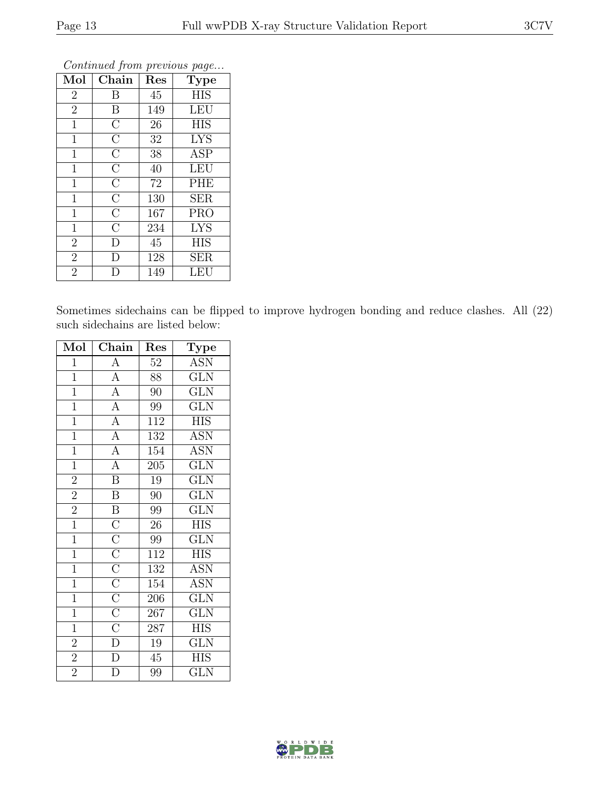| Mol            | Chain              | Res | Type       |
|----------------|--------------------|-----|------------|
| $\overline{2}$ | B                  | 45  | <b>HIS</b> |
| $\overline{2}$ | $\boldsymbol{B}$   | 149 | <b>LEU</b> |
| $\mathbf{1}$   | $\overline{\rm C}$ | 26  | <b>HIS</b> |
| 1              | $\overline{C}$     | 32  | <b>LYS</b> |
| $\mathbf{1}$   | $\overline{\rm C}$ | 38  | <b>ASP</b> |
| $\mathbf{1}$   | $\overline{\rm C}$ | 40  | <b>LEU</b> |
| $\mathbf 1$    | $\overline{\rm C}$ | 72  | PHE        |
| $\mathbf 1$    | $\overline{\rm C}$ | 130 | <b>SER</b> |
| $\mathbf{1}$   | $\overline{\rm C}$ | 167 | <b>PRO</b> |
| $\mathbf{1}$   | $\overline{\rm C}$ | 234 | <b>LYS</b> |
| $\overline{2}$ | D                  | 45  | <b>HIS</b> |
| $\overline{2}$ | D                  | 128 | <b>SER</b> |
| $\overline{2}$ | I)                 | 149 | LEU        |

Continued from previous page...

Sometimes sidechains can be flipped to improve hydrogen bonding and reduce clashes. All (22) such sidechains are listed below:

| Mol            | Chain                                                                                                                                                 | Res              | Type                    |
|----------------|-------------------------------------------------------------------------------------------------------------------------------------------------------|------------------|-------------------------|
| $\mathbf{1}$   | $\overline{A}$                                                                                                                                        | $\overline{52}$  | <b>ASN</b>              |
| $\overline{1}$ | $\overline{A}$                                                                                                                                        | 88               | $\overline{\text{GLN}}$ |
| $\overline{1}$ | $\overline{A}$                                                                                                                                        | 90               | $\widetilde{{\rm GLN}}$ |
| $\overline{1}$ | $\overline{A}$                                                                                                                                        | 99               | $\overline{\text{GLN}}$ |
| $\overline{1}$ | $\overline{A}$                                                                                                                                        | $\overline{112}$ | $\overline{\text{HIS}}$ |
| $\overline{1}$ | $\overline{A}$                                                                                                                                        | $\overline{132}$ | $\overline{\text{ASN}}$ |
| $\overline{1}$ | $\overline{A}$                                                                                                                                        | 154              | <b>ASN</b>              |
| $\overline{1}$ | $\overline{A}$                                                                                                                                        | $\overline{205}$ | $\overline{\text{GLN}}$ |
| $\overline{2}$ | $\overline{B}$                                                                                                                                        | 19               | $\overline{\text{GLN}}$ |
| $\overline{2}$ | $\overline{\mathbf{B}}$                                                                                                                               | $\overline{90}$  | $\overline{\text{GLN}}$ |
| $\overline{2}$ |                                                                                                                                                       | 99               | $\overline{\text{GLN}}$ |
| $\overline{1}$ |                                                                                                                                                       | 26               | <b>HIS</b>              |
| $\overline{1}$ |                                                                                                                                                       | $\overline{99}$  | $\overline{\text{GLN}}$ |
| $\overline{1}$ |                                                                                                                                                       | 112              | <b>HIS</b>              |
| $\overline{1}$ |                                                                                                                                                       | 132              | <b>ASN</b>              |
| $\overline{1}$ | $\overline{B}$ $\overline{C}$ $\overline{C}$ $\overline{C}$ $\overline{C}$ $\overline{C}$ $\overline{C}$ $\overline{C}$ $\overline{C}$ $\overline{D}$ | 154              | <b>ASN</b>              |
| $\mathbf{1}$   |                                                                                                                                                       | 206              | <b>GLN</b>              |
| $\overline{1}$ |                                                                                                                                                       | $\overline{267}$ | $\overline{\text{GLN}}$ |
| $\overline{1}$ |                                                                                                                                                       | 287              | <b>HIS</b>              |
| $\overline{2}$ |                                                                                                                                                       | 19               | <b>GLN</b>              |
| $\overline{2}$ | $\overline{\rm D}$                                                                                                                                    | 45               | <b>HIS</b>              |
| $\overline{2}$ | D                                                                                                                                                     | 99               | <b>GLN</b>              |

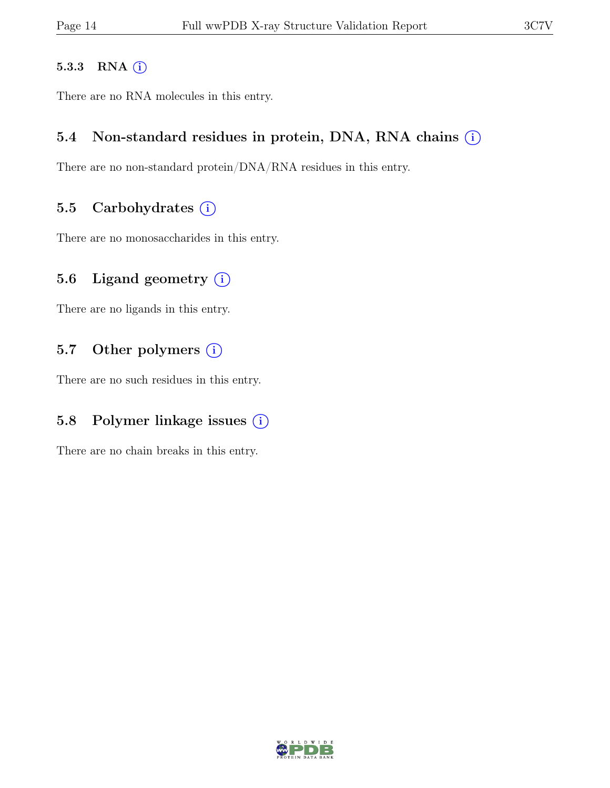#### 5.3.3 RNA  $(i)$

There are no RNA molecules in this entry.

#### 5.4 Non-standard residues in protein, DNA, RNA chains  $(i)$

There are no non-standard protein/DNA/RNA residues in this entry.

#### 5.5 Carbohydrates  $(i)$

There are no monosaccharides in this entry.

#### 5.6 Ligand geometry  $(i)$

There are no ligands in this entry.

#### 5.7 Other polymers (i)

There are no such residues in this entry.

#### 5.8 Polymer linkage issues  $(i)$

There are no chain breaks in this entry.

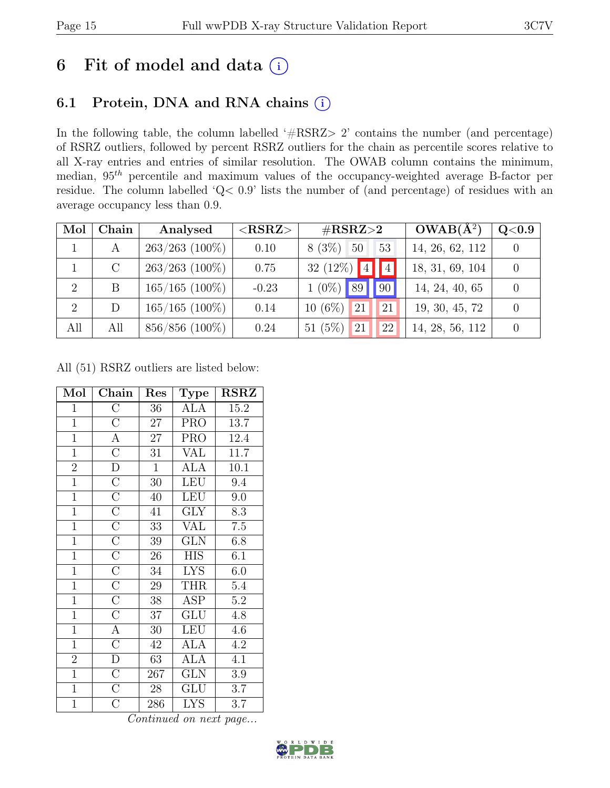## 6 Fit of model and data  $(i)$

## 6.1 Protein, DNA and RNA chains (i)

In the following table, the column labelled ' $\#\text{RSRZ}>2$ ' contains the number (and percentage) of RSRZ outliers, followed by percent RSRZ outliers for the chain as percentile scores relative to all X-ray entries and entries of similar resolution. The OWAB column contains the minimum, median,  $95<sup>th</sup>$  percentile and maximum values of the occupancy-weighted average B-factor per residue. The column labelled 'Q< 0.9' lists the number of (and percentage) of residues with an average occupancy less than 0.9.

| Mol            | Chain         | Analysed         | $<$ RSRZ $>$ | $\rm \#RSRZ{>}2$         | $OWAB(A^2)$     | Q <sub>0.9</sub> |
|----------------|---------------|------------------|--------------|--------------------------|-----------------|------------------|
|                | A             | $263/263$ (100%) | 0.10         | $8(3\%)$<br>- 50<br>53   | 14, 26, 62, 112 |                  |
|                | $\mathcal{C}$ | $263/263$ (100%) | 0.75         | 32 (12%) $ 4 $<br>$\P$ 4 | 18, 31, 69, 104 |                  |
| $\overline{2}$ |               | $165/165$ (100%) | $-0.23$      | $1(0\%)$ 89<br>$\log$    | 14, 24, 40, 65  |                  |
| $\overline{2}$ | D             | $165/165$ (100%) | 0.14         | $10(6\%)$<br>  21<br>21  | 19, 30, 45, 72  |                  |
| All            | All           | 856/856 (100%)   | 0.24         | 51 $(5\%)$<br> 21<br>22  | 14, 28, 56, 112 |                  |

All (51) RSRZ outliers are listed below:

| Mol            | Chain                   | Res             | Type                    | <b>RSRZ</b> |
|----------------|-------------------------|-----------------|-------------------------|-------------|
| $\overline{1}$ | $\overline{\rm C}$      | 36              | <b>ALA</b>              | 15.2        |
| $\overline{1}$ | $\mathcal{C}$           | 27              | <b>PRO</b>              | 13.7        |
| $\overline{1}$ | $\overline{A}$          | $\overline{27}$ | <b>PRO</b>              | 12.4        |
| $\mathbf{1}$   | $\overline{C}$          | 31              | <b>VAL</b>              | 11.7        |
| $\overline{2}$ | $\overline{\rm D}$      | $\mathbf{1}$    | <b>ALA</b>              | 10.1        |
| $\overline{1}$ | $\overline{C}$          | 30              | LEU                     | 9.4         |
| $\overline{1}$ | $\overline{C}$          | 40              | <b>LEU</b>              | 9.0         |
| $\overline{1}$ | $\overline{C}$          | 41              | <b>GLY</b>              | 8.3         |
| $\overline{1}$ | $\overline{\mathrm{C}}$ | 33              | <b>VAL</b>              | $7.5\,$     |
| $\overline{1}$ | $\overline{C}$          | 39 <sup>7</sup> | $\overline{\text{GLN}}$ | 6.8         |
| $\overline{1}$ | $\overline{C}$          | 26              | <b>HIS</b>              | 6.1         |
| $\overline{1}$ | $\overline{\rm C}$      | 34              | $\overline{\text{LYS}}$ | 6.0         |
| $\mathbf{1}$   | $\overline{C}$          | 29              | <b>THR</b>              | 5.4         |
| $\mathbf{1}$   | $\overline{C}$          | 38              | <b>ASP</b>              | $5.2\,$     |
| $\overline{1}$ | $\overline{\rm C}$      | 37              | GLU                     | 4.8         |
| $\overline{1}$ | $\overline{A}$          | 30              | <b>LEU</b>              | 4.6         |
| $\overline{1}$ | $\overline{C}$          | 42              | <b>ALA</b>              | 4.2         |
| $\overline{2}$ | D                       | 63              | <b>ALA</b>              | 4.1         |
| $\overline{1}$ | $\overline{C}$          | 267             | <b>GLN</b>              | $3.9\,$     |
| $\overline{1}$ | $\overline{C}$          | 28              | GLU                     | 3.7         |
| $\mathbf{1}$   | $\rm \bar{C}$           | 286             | <b>LYS</b>              | 3.7         |

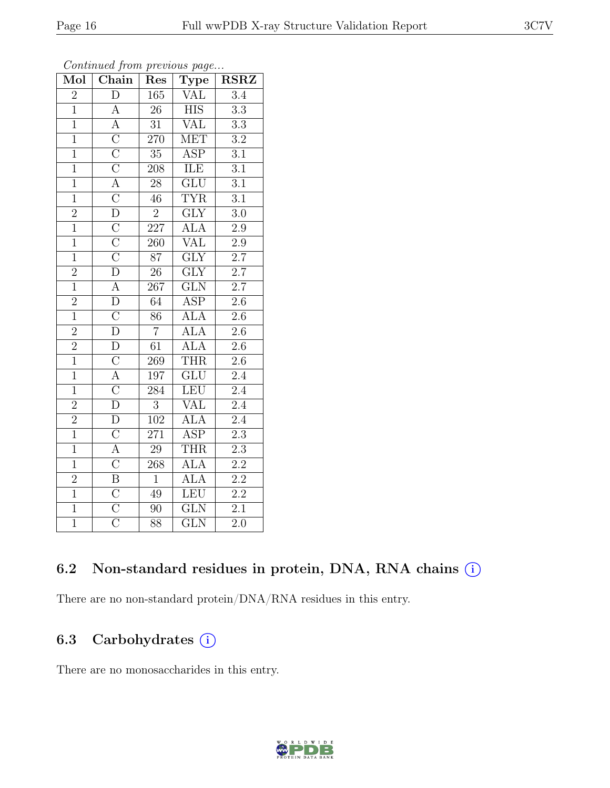| Mol            | $Chain$                             | Res              | Type                    | $\operatorname{RSRZ}$ |
|----------------|-------------------------------------|------------------|-------------------------|-----------------------|
| $\overline{2}$ | $\overline{D}$                      | 165              | VAL                     | 3.4                   |
| $\overline{1}$ | $\boldsymbol{A}$                    | 26               | <b>HIS</b>              | $\overline{3.3}$      |
| $\overline{1}$ | $\overline{A}$                      | $\overline{31}$  | $\overline{\text{VAL}}$ | $\overline{3.3}$      |
| $\overline{1}$ | $\overline{C}$                      | <b>270</b>       | <b>MET</b>              | $\overline{3.2}$      |
| $\overline{1}$ | $\overline{C}$                      | $\overline{35}$  | $\overline{\text{ASP}}$ | $\overline{3.1}$      |
| $\overline{1}$ | $\overline{\rm C}$                  | 208              | ILE                     | $\overline{3.1}$      |
| $\overline{1}$ | $\overline{A}$                      | 28               | $\overline{\text{GLU}}$ | $\overline{3.1}$      |
| $\overline{1}$ | $\overline{\rm C}$                  | 46               | <b>TYR</b>              | $\overline{3.1}$      |
| $\frac{2}{1}$  | $\overline{D}$                      | $\overline{2}$   | $\overline{\text{GLY}}$ | $\overline{3.0}$      |
|                | $\overline{\rm C}$                  | 227              | $\overline{ALA}$        | $\overline{2.9}$      |
| $\overline{1}$ | $\frac{\overline{C}}{\overline{C}}$ | 260              | VAL                     | $\overline{2.9}$      |
| $\overline{1}$ |                                     | $\overline{87}$  | $\overline{\text{GLY}}$ | $\overline{2.7}$      |
| $\overline{2}$ | $\overline{\rm D}$                  | 26               | $\overline{\text{GLY}}$ | $\overline{2.7}$      |
| $\overline{1}$ | $\overline{A}$                      | 267              | $\overline{\text{GLN}}$ | $\overline{2.7}$      |
| $\overline{2}$ | $\overline{D}$                      | 64               | <b>ASP</b>              | $\overline{2.6}$      |
| $\overline{1}$ | $\overline{C}$                      | 86               | $AI\overline{A}$        | $2.6\,$               |
| $\overline{2}$ | $\overline{\rm D}$                  | $\overline{7}$   | <b>ALA</b>              | $\overline{2.6}$      |
| $\frac{2}{1}$  | $\overline{D}$                      | 61               | <b>ALA</b>              | $\overline{2.6}$      |
|                | $\overline{C}$                      | 269              | <b>THR</b>              | $2.6\,$               |
| $\overline{1}$ | $\frac{\overline{A}}{\overline{C}}$ | 197              | $\overline{\text{GLU}}$ | $\overline{2.4}$      |
| $\overline{1}$ |                                     | 284              | LEU                     | $\overline{2.4}$      |
| $\overline{2}$ |                                     | $\overline{3}$   | <b>VAL</b>              | $\overline{2.4}$      |
| $\frac{2}{1}$  | $\overline{\rm D}$                  | $\overline{102}$ | <b>ALA</b>              | $\overline{2.4}$      |
|                | $\overline{C}$                      | $\overline{271}$ | $\overline{\text{ASP}}$ | $\overline{2.3}$      |
| $\overline{1}$ | $\overline{A}$                      | $\overline{29}$  | <b>THR</b>              | $\overline{2.3}$      |
| $\overline{1}$ | $\overline{C}$                      | 268              | <b>ALA</b>              | $\overline{2.2}$      |
| $\overline{2}$ | $\overline{\mathrm{B}}$             | $\overline{1}$   | <b>ALA</b>              | $\overline{2.2}$      |
| $\overline{1}$ | $\overline{C}$                      | 49               | LEU                     | $\overline{2.2}$      |
| $\overline{1}$ | $\overline{\rm C}$                  | 90               | $\overline{\text{GLN}}$ | $\overline{2.1}$      |
| $\overline{1}$ | $\overline{\rm C}$                  | 88               | $\overline{\text{GLN}}$ | $\overline{2.0}$      |

#### Continued from previous page...

#### 6.2 Non-standard residues in protein, DNA, RNA chains  $(i)$

There are no non-standard protein/DNA/RNA residues in this entry.

### 6.3 Carbohydrates (i)

There are no monosaccharides in this entry.